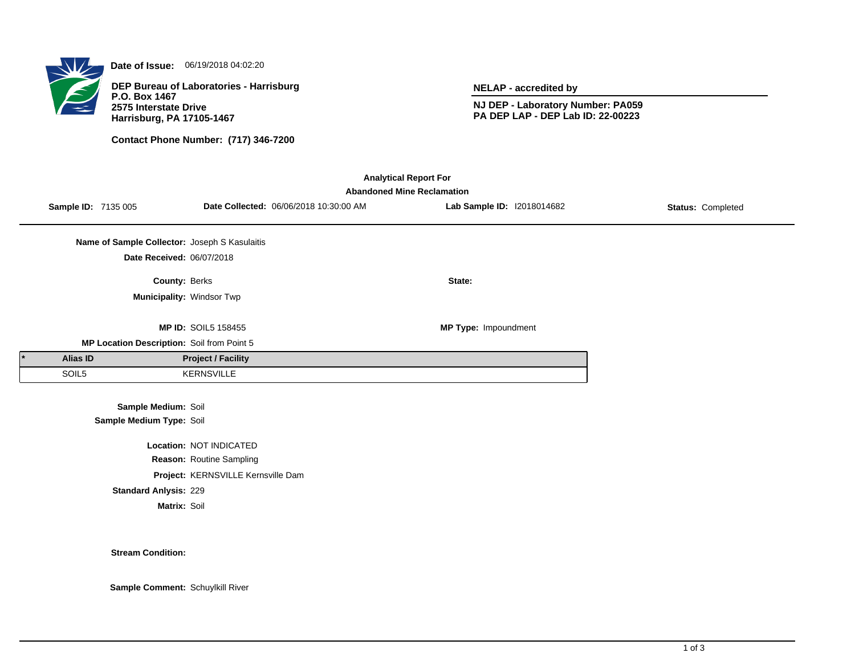

**Date of Issue:** 06/19/2018 04:02:20

**DEP Bureau of Laboratories - Harrisburg P.O. Box 1467 2575 Interstate Drive Harrisburg, PA 17105-1467**

**Contact Phone Number: (717) 346-7200**

**NELAP - accredited by**

**NJ DEP - Laboratory Number: PA059 PA DEP LAP - DEP Lab ID: 22-00223**

| <b>Analytical Report For</b><br><b>Abandoned Mine Reclamation</b> |          |                                               |                                    |                                        |                            |                   |  |  |  |  |
|-------------------------------------------------------------------|----------|-----------------------------------------------|------------------------------------|----------------------------------------|----------------------------|-------------------|--|--|--|--|
|                                                                   |          | <b>Sample ID: 7135 005</b>                    |                                    | Date Collected: 06/06/2018 10:30:00 AM | Lab Sample ID: 12018014682 | Status: Completed |  |  |  |  |
|                                                                   |          | Name of Sample Collector: Joseph S Kasulaitis |                                    |                                        |                            |                   |  |  |  |  |
|                                                                   |          | Date Received: 06/07/2018                     |                                    |                                        |                            |                   |  |  |  |  |
|                                                                   |          | County: Berks                                 |                                    |                                        | State:                     |                   |  |  |  |  |
|                                                                   |          | Municipality: Windsor Twp                     |                                    |                                        |                            |                   |  |  |  |  |
|                                                                   |          |                                               | <b>MP ID: SOIL5 158455</b>         |                                        | MP Type: Impoundment       |                   |  |  |  |  |
| MP Location Description: Soil from Point 5                        |          |                                               |                                    |                                        |                            |                   |  |  |  |  |
|                                                                   | Alias ID |                                               | <b>Project / Facility</b>          |                                        |                            |                   |  |  |  |  |
|                                                                   | SOIL5    |                                               | <b>KERNSVILLE</b>                  |                                        |                            |                   |  |  |  |  |
|                                                                   |          | Sample Medium: Soil                           |                                    |                                        |                            |                   |  |  |  |  |
|                                                                   |          | Sample Medium Type: Soil                      |                                    |                                        |                            |                   |  |  |  |  |
|                                                                   |          |                                               | Location: NOT INDICATED            |                                        |                            |                   |  |  |  |  |
|                                                                   |          |                                               | Reason: Routine Sampling           |                                        |                            |                   |  |  |  |  |
|                                                                   |          |                                               | Project: KERNSVILLE Kernsville Dam |                                        |                            |                   |  |  |  |  |

**Standard Anlysis:** 229

**Matrix:** Soil

**Stream Condition:**

**Sample Comment:** Schuylkill River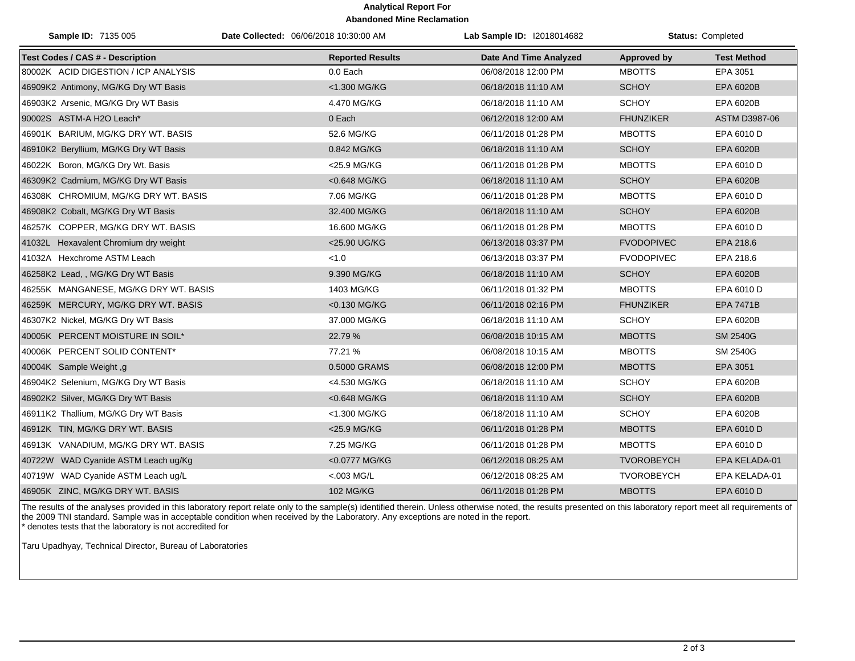## **Analytical Report For Abandoned Mine Reclamation**

| Sample ID: 7135 005                     | Date Collected: 06/06/2018 10:30:00 AM | Lab Sample ID: I2018014682    |                    | Status: Completed  |
|-----------------------------------------|----------------------------------------|-------------------------------|--------------------|--------------------|
| <b>Test Codes / CAS # - Description</b> | <b>Reported Results</b>                | <b>Date And Time Analyzed</b> | <b>Approved by</b> | <b>Test Method</b> |
| 80002K ACID DIGESTION / ICP ANALYSIS    | 0.0 Each                               | 06/08/2018 12:00 PM           | <b>MBOTTS</b>      | EPA 3051           |
| 46909K2 Antimony, MG/KG Dry WT Basis    | <1.300 MG/KG                           | 06/18/2018 11:10 AM           | <b>SCHOY</b>       | EPA 6020B          |
| 46903K2 Arsenic, MG/KG Dry WT Basis     | 4.470 MG/KG                            | 06/18/2018 11:10 AM           | <b>SCHOY</b>       | EPA 6020B          |
| 90002S ASTM-A H2O Leach*                | 0 Each                                 | 06/12/2018 12:00 AM           | <b>FHUNZIKER</b>   | ASTM D3987-06      |
| 46901K BARIUM, MG/KG DRY WT. BASIS      | 52.6 MG/KG                             | 06/11/2018 01:28 PM           | <b>MBOTTS</b>      | EPA 6010 D         |
| 46910K2 Beryllium, MG/KG Dry WT Basis   | 0.842 MG/KG                            | 06/18/2018 11:10 AM           | <b>SCHOY</b>       | EPA 6020B          |
| 46022K Boron, MG/KG Dry Wt. Basis       | <25.9 MG/KG                            | 06/11/2018 01:28 PM           | <b>MBOTTS</b>      | EPA 6010 D         |
| 46309K2 Cadmium, MG/KG Dry WT Basis     | <0.648 MG/KG                           | 06/18/2018 11:10 AM           | <b>SCHOY</b>       | EPA 6020B          |
| 46308K CHROMIUM, MG/KG DRY WT. BASIS    | 7.06 MG/KG                             | 06/11/2018 01:28 PM           | <b>MBOTTS</b>      | EPA 6010 D         |
| 46908K2 Cobalt, MG/KG Dry WT Basis      | 32.400 MG/KG                           | 06/18/2018 11:10 AM           | <b>SCHOY</b>       | EPA 6020B          |
| 46257K COPPER, MG/KG DRY WT. BASIS      | 16.600 MG/KG                           | 06/11/2018 01:28 PM           | <b>MBOTTS</b>      | EPA 6010 D         |
| 41032L Hexavalent Chromium dry weight   | <25.90 UG/KG                           | 06/13/2018 03:37 PM           | <b>FVODOPIVEC</b>  | EPA 218.6          |
| 41032A Hexchrome ASTM Leach             | < 1.0                                  | 06/13/2018 03:37 PM           | <b>FVODOPIVEC</b>  | EPA 218.6          |
| 46258K2 Lead, , MG/KG Dry WT Basis      | 9.390 MG/KG                            | 06/18/2018 11:10 AM           | <b>SCHOY</b>       | EPA 6020B          |
| 46255K MANGANESE, MG/KG DRY WT. BASIS   | 1403 MG/KG                             | 06/11/2018 01:32 PM           | <b>MBOTTS</b>      | EPA 6010 D         |
| 46259K MERCURY, MG/KG DRY WT. BASIS     | <0.130 MG/KG                           | 06/11/2018 02:16 PM           | <b>FHUNZIKER</b>   | <b>EPA 7471B</b>   |
| 46307K2 Nickel, MG/KG Dry WT Basis      | 37.000 MG/KG                           | 06/18/2018 11:10 AM           | <b>SCHOY</b>       | EPA 6020B          |
| 40005K PERCENT MOISTURE IN SOIL*        | 22.79 %                                | 06/08/2018 10:15 AM           | <b>MBOTTS</b>      | <b>SM 2540G</b>    |
| 40006K PERCENT SOLID CONTENT*           | 77.21 %                                | 06/08/2018 10:15 AM           | <b>MBOTTS</b>      | SM 2540G           |
| 40004K Sample Weight, g                 | 0.5000 GRAMS                           | 06/08/2018 12:00 PM           | <b>MBOTTS</b>      | EPA 3051           |
| 46904K2 Selenium, MG/KG Dry WT Basis    | <4.530 MG/KG                           | 06/18/2018 11:10 AM           | <b>SCHOY</b>       | EPA 6020B          |
| 46902K2 Silver, MG/KG Dry WT Basis      | <0.648 MG/KG                           | 06/18/2018 11:10 AM           | <b>SCHOY</b>       | EPA 6020B          |
| 46911K2 Thallium, MG/KG Dry WT Basis    | <1.300 MG/KG                           | 06/18/2018 11:10 AM           | <b>SCHOY</b>       | EPA 6020B          |
| 46912K TIN, MG/KG DRY WT. BASIS         | <25.9 MG/KG                            | 06/11/2018 01:28 PM           | <b>MBOTTS</b>      | EPA 6010 D         |
| 46913K VANADIUM, MG/KG DRY WT. BASIS    | 7.25 MG/KG                             | 06/11/2018 01:28 PM           | <b>MBOTTS</b>      | EPA 6010 D         |
| 40722W WAD Cyanide ASTM Leach ug/Kg     | <0.0777 MG/KG                          | 06/12/2018 08:25 AM           | <b>TVOROBEYCH</b>  | EPA KELADA-01      |
| 40719W WAD Cyanide ASTM Leach ug/L      | $< 003$ MG/L                           | 06/12/2018 08:25 AM           | <b>TVOROBEYCH</b>  | EPA KELADA-01      |
| 46905K ZINC, MG/KG DRY WT. BASIS        | 102 MG/KG                              | 06/11/2018 01:28 PM           | <b>MBOTTS</b>      | EPA 6010 D         |

The results of the analyses provided in this laboratory report relate only to the sample(s) identified therein. Unless otherwise noted, the results presented on this laboratory report meet all requirements of the 2009 TNI standard. Sample was in acceptable condition when received by the Laboratory. Any exceptions are noted in the report. \* denotes tests that the laboratory is not accredited for

Taru Upadhyay, Technical Director, Bureau of Laboratories